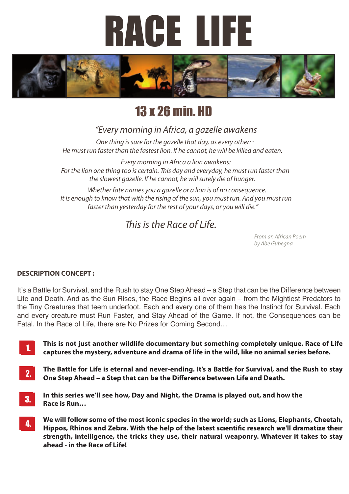



# 13 x 26 min. HD

### *"Every morning in Africa, a gazelle awakens*

*. One thing is sure for the gazelle that day, as every other: He must run faster than the fastest lion. If he cannot, he will be killed and eaten.*

*Every morning in Africa a lion awakens: For the lion one thing too is certain. This day and everyday, he must run faster than the slowest gazelle. If he cannot, he will surely die of hunger.*

*Whether fate names you a gazelle or a lion is of no consequence. It is enough to know that with the rising of the sun, you must run. And you must run faster than yesterday for the rest of your days, or you will die."*

## *This is the Race of Life.*

*From an African Poem by Abe Gubegna*

### **DESCRIPTION CONCEPT :**

It's a Battle for Survival, and the Rush to stay One Step Ahead – a Step that can be the Difference between Life and Death. And as the Sun Rises, the Race Begins all over again – from the Mightiest Predators to the Tiny Creatures that teem underfoot. Each and every one of them has the Instinct for Survival. Each and every creature must Run Faster, and Stay Ahead of the Game. If not, the Consequences can be Fatal. In the Race of Life, there are No Prizes for Coming Second…

1. 1. **This is not just another wildlife documentary but something completely unique. Race of Life captures the mystery, adventure and drama of life in the wild, like no animal series before.**

- **The Battle for Life is eternal and never-ending. It's a Battle for Survival, and the Rush to stay**  2. 2. One Step Ahead - a Step that can be the Difference between Life and Death.
- 3. 3. **In this series we'll see how, Day and Night, the Drama is played out, and how the Race is Run…**
- **We will follow some of the most iconic species in the world; such as Lions, Elephants, Cheetah,**  4. 4. Hippos, Rhinos and Zebra. With the help of the latest scientific research we'll dramatize their **strength, intelligence, the tricks they use, their natural weaponry. Whatever it takes to stay ahead - in the Race of Life!**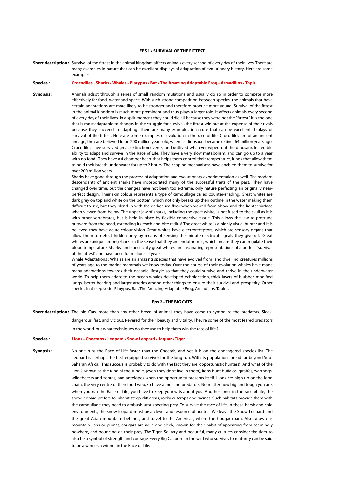#### **EPS 1 • SURVIVAL OF THE FITTEST**

**Short description :** Survival of the fittest in the animal kingdom affects animals every second of every day of their lives. There are many examples in nature that can be excellent displays of adaptation of evolutionary history. Here are some examples :

#### **Species : Crocodiles • Sharks • Whales • Platypus • Bat • The Amazing Adaptable Frog • Armadillos • Tapir**

**Synopsis:** Animals adapt through a series of small, random mutations and usually do so in order to compete more effectively for food, water and space. With such strong competition between species, the animals that have certain adaptations are more likely to be stronger and therefore produce more young. Survival of the fittest in the animal kingdom is much more prominent and thus plays a larger role. It affects animals every second of every day of their lives. In a split moment they could die all because they were not the "fittest". It is the one that is most adaptable to change. In the struggle for survival, the fittest win out at the expense of their rivals because they succeed in adapting There are many examples in nature that can be excellent displays of survival of the fittest. Here are some examples of evolution in the race of life. Crocodiles are of an ancient lineage, they are believed to be 200 million years old, whereas dinosaurs became extinct 64 million years ago. Crocodiles have survived great extinction events, and outlived whatever wiped out the dinosaur. Incredible ability to adapt and survive in the Race of Life. They have a very slow metabolism, and can go up to a year with no food. They have a 4 chamber heart that helps them control their temperature, lungs that allow them to hold their breath underwater for up to 2 hours. Their coping mechanisms have enabled them to survive for over 200 million years.

> Sharks have gone through the process of adaptation and evolutionary experimentation as well. The modern descendants of ancient sharks have incorporated many of the successful traits of the past. They have changed over time, but the changes have not been too extreme, only nature perfecting an originally nearperfect design. Their skin colour represents a type of camouflage called counter-shading. Great whites are dark grey on top and white on the bottom, which not only breaks up their outline in the water making them difficult to see, but they blend in with the darker sea-floor when viewed from above and the lighter surface when viewed from below. The upper jaw of sharks, including the great white, is not fused to the skull as it is with other vertebrates, but is held in place by flexible connective tissue. This allows the jaw to protrude outward from the head, extending its reach and bite radius! The great white is a highly visual hunter and it is believed they have acute colour vision Great whites have electroreceptors, which are sensory organs that allow them to detect hidden prey by means of sensing the minute electrical signals they give off. Great whites are unique among sharks in the sense that they are endothermic, which means they can regulate their blood temperature. Sharks, and specifically great whites, are fascinating representations of a perfect "survival of the fittest" and have been for millions of years.

> Whale Adaptations : Whales are an amazing species that have evolved from land dwelling creatures millions of years ago to the marine mammals we know today. Over the course of their evolution whales have made many adaptations towards their oceanic lifestyle so that they could survive and thrive in the underwater world. To help them adapt to the ocean whales developed echolocation, thick layers of blubber, modified lungs, better hearing and larger arteries among other things to ensure their survival and prosperity. Other species in the episode: Platypus, Bat, The Amazing Adaptable Frog, Armadillos, Tapir ...

#### **Eps 2 • THE BIG CATS**

**Short description :** The big Cats, more than any other breed of animal, they have come to symbolize the predators. Sleek,

dangerous, fast, and vicious. Revered for their beauty and vitality. They're some of the most feared predators in the world, but what techniques do they use to help them win the race of life ?

#### **Species : Lions • Cheetahs • Leopard • Snow Leopard • Jaguar • Tiger**

**Synopsis :** No-one runs the Race of Life faster than the Cheetah, and yet it is on the endangered species list. The Leopard is perhaps the best equipped survivor for the long run. With its population spread far beyond Sub-Saharan Africa. This success is probably to do with the fact they are 'opportunistic hunters'. And what of the Lion ? Known as the King of the Jungle, (even they don't live in them), lions hunt buffalos, giraffes, warthogs, wildebeests and zebras, and antelopes when the opportunity presents itself. Lions are high up on the food chain, the very centre of their food web, so have almost no predators. No matter how big and tough you are, when you run the Race of Life, you have to keep your wits about you. Another loner in the race of life, the snow leopard prefers to inhabit steep cliff areas, rocky outcrops and ravines. Such habitats provide them with the camouflage they need to ambush unsuspecting prey. To survive the race of life, in these harsh and cold environments, the snow leopard must be a clever and resourceful hunter. We leave the Snow Leopard and the great Asian mountains behind , and travel to the Americas, where the Cougar roam. Also known as mountain lions or pumas, cougars are agile and sleek, known for their habit of appearing from seemingly nowhere, and pouncing on their prey. The Tiger Solitary and beautiful, many cultures consider the tiger to also be a symbol of strength and courage. Every Big Cat born in the wild who survives to maturity can be said to be a winner, a winner in the Race of Life.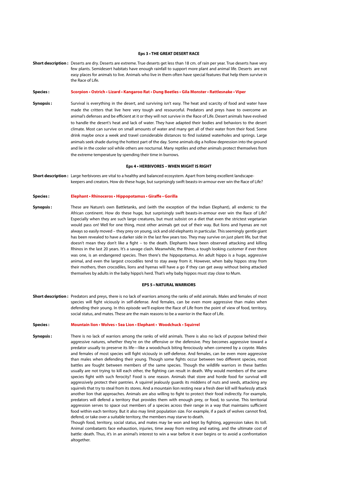#### **Eps 3 • THE GREAT DESERT RACE**

**Short description :** Deserts are dry. Deserts are extreme. True deserts get less than 18 cm. of rain per year. True deserts have very few plants. Semidesert habitats have enough rainfall to support more plant and animal life. Deserts are not easy places for animals to live. Animals who live in them often have special features that help them survive in the Race of Life.

#### **Species : Scorpion • Ostrich • Lizard • Kangaroo Rat • Dung Beetles • Gila Monster • Rattlesnake • Viper**

**Synopsis :** Survival is everything in the desert, and surviving isn't easy. The heat and scarcity of food and water have made the critters that live here very tough and resourceful. Predators and preys have to overcome an animal's defenses and be efficient at it or they will not survive in the Race of Life. Desert animals have evolved to handle the desert's heat and lack of water. They have adapted their bodies and behaviors to the desert climate. Most can survive on small amounts of water and many get all of their water from their food. Some drink maybe once a week and travel considerable distances to find isolated waterholes and springs. Large animals seek shade during the hottest part of the day. Some animals dig a hollow depression into the ground and lie in the cooler soil while others are nocturnal. Many reptiles and other animals protect themselves from the extreme temperature by spending their time in burrows.

#### **Eps 4 • HERBIVORES – WHEN MIGHT IS RIGHT**

**Short description :** Large herbivores are vital to a healthy and balanced ecosystem. Apart from being excellent landscapekeepers and creators. How do these huge, but surprisingly swift beasts-in-armour ever win the Race of Life?

**Species : Elephant • Rhinoceros • Hippopotamus • Giraffe • Gorilla**

**Synopsis :** These are Nature's own Battletanks, and (with the exception of the Indian Elephant), all endemic to the African continent. How do these huge, but surprisingly swift beasts-in-armour ever win the Race of Life? Especially when they are such large creatures, but must subsist on a diet that even the strictest vegetarian would pass on! Well for one thing, most other animals get out of their way. But lions and hyenas are not always so easily moved – they prey on young, sick and old elephants in particular. Thisseemingly gentle giant has been revealed to have a darker side in the last few years too. They may survive on just plant life, but that doesn't mean they don't like a fight – to the death. Elephants have been observed attacking and killing Rhinos in the last 20 years. It's a savage clash. Meanwhile, the Rhino, a tough looking customer if ever there was one, is an endangered species. Then there's the hippopotamus. An adult hippo is a huge, aggressive animal, and even the largest crocodiles tend to stay away from it. However, when baby hippos stray from their mothers, then crocodiles, lions and hyenas will have a go if they can get away without being attacked themselves by adults in the baby hippo's herd. That's why baby hippos must stay close to Mum.

#### **EPS 5 • NATURAL WARRIORS**

**Short description :** Predators and preys, there is no lack of warriors among the ranks of wild animals. Males and females of most species will fight viciously in self-defense. And females, can be even more aggressive than males when defending their young. In this episode we'll explore the Race of Life from the point of view of food, territory, social status, and mates. These are the main reasons to be a warrior in the Race of Life.

#### **Species : Mountain lion • Wolves • Sea Lion • Elephant • Woodchuck • Squirrel**

**Synopsis:** There is no lack of warriors among the ranks of wild animals. There is also no lack of purpose behind their aggressive natures, whether they're on the offensive or the defensive. Prey becomes aggressive toward a predator usually to preserve its life—like a woodchuck biting ferociously when cornered by a coyote. Males and females of most species will fight viciously in self-defense. And females, can be even more aggressive than males when defending their young. Though some fights occur between two different species, most battles are fought between members of the same species. Though the wildlife warriors in these battles usually are not trying to kill each other, the fighting can result in death. Why would members of the same species fight with such ferocity? Food is one reason. Animals that store and horde food for survival will aggressively protect their pantries. A squirrel jealously guards its middens of nuts and seeds, attacking any squirrels that try to steal from its stores. And a mountain lion resting near a fresh deer kill will fearlessly attack another lion that approaches. Animals are also willing to fight to protect their food indirectly. For example, predators will defend a territory that provides them with enough prey, or food, to survive. This territorial aggression serves to space out members of a species across their range in a way that maintains sufficient food within each territory. But it also may limit population size. For example, if a pack of wolves cannot find, defend, or take over a suitable territory, the members may starve to death. Though food, territory, social status, and mates may be won and kept by fighting, aggression takes its toll.

Animal combatants face exhaustion, injuries, time away from resting and eating, and the ultimate cost of battle: death. Thus, it's in an animal's interest to win a war before it ever begins or to avoid a confrontation altogether.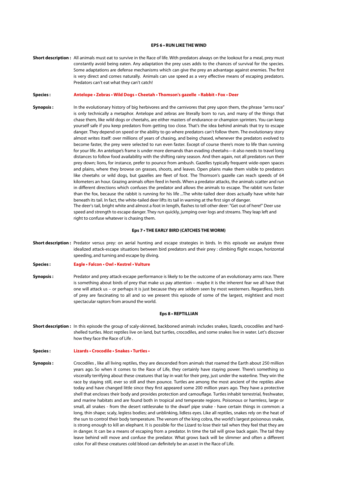#### **EPS 6 • RUN LIKE THE WIND**

**Short description :** All animals must eat to survive in the Race of life. With predators always on the lookout for a meal, prey must constantly avoid being eaten. Any adaptation the prey uses adds to the chances of survival for the species. Some adaptations are defense mechanisms which can give the prey an advantage against enemies. The first is very direct and comes naturally. Animals can use speed as a very effective means of escaping predators. Predators can't eat what they can't catch!

#### **Species : Antelope • Zebras • Wild Dogs • Cheetah • Thomson's gazelle • Rabbit • Fox • Deer**

**Synopsis:** In the evolutionary history of big herbivores and the carnivores that prey upon them, the phrase "arms race" is only technically a metaphor. Antelope and zebras are literally born to run, and many of the things that chase them, like wild dogs or cheetahs, are either masters of endurance or champion sprinters. You can keep yourself safe if you keep predators from getting too close. That's the idea behind animals that try to escape danger. They depend on speed or the ability to go where predators can't follow them. The evolutionary story almost writes itself: over millions of years of chasing, and being chased, whenever the predators evolved to become faster, the prey were selected to run even faster. Except of course there's more to life than running for your life. An antelope's frame is under more demands than evading cheetahs—it also needs to travel long distances to follow food availability with the shifting rainy season. And then again, not all predators run their prey down; lions, for instance, prefer to pounce from ambush. Gazelles typically frequent wide-open spaces and plains, where they browse on grasses, shoots, and leaves. Open plains make them visible to predators like cheetahs or wild dogs, but gazelles are fleet of foot. The Thomson's gazelle can reach speeds of 64 kilometers an hour. Grazing animals often feed in herds. When a predator attacks, the animals scatter and run in different directions which confuses the predator and allows the animals to escape. The rabbit runs faster than the fox, because the rabbit is running for his life ...The white-tailed deer does actually have white hair beneath its tail. In fact, the white-tailed deer lifts its tail in warning at the first sign of danger. The deer's tail, bright white and almost a foot in length, flashes to tell other deer: "Get out of here!" Deer use speed and strength to escape danger. They run quickly, jumping over logs and streams. They leap left and right to confuse whatever is chasing them.

#### **Eps 7 • THE EARLY BIRD (CATCHES THE WORM)**

**Short description :** Predator versus prey: on aerial hunting and escape strategies in birds. In this episode we analyze three idealized attack-escape situations between bird predators and their prey : climbing flight escape, horizontal speeding, and turning and escape by diving.

**Species : Eagle • Falcon • Owl • Kestrel • Vulture**

**Synopsis :** Predator and prey attack-escape performance is likely to be the outcome of an evolutionary arms race. There is something about birds of prey that make us pay attention – maybe it is the inherent fear we all have that one will attack us – or perhaps it is just because they are seldom seen by most westerners. Regardless, birds of prey are fascinating to all and so we present this episode of some of the largest, mightiest and most spectacular raptors from around the world.

#### **Eps 8 • REPTILLIAN**

- **Short description :** In this episode the group of scaly-skinned, backboned animals includes snakes, lizards, crocodiles and hardshelled turtles. Most reptiles live on land, but turtles, crocodiles, and some snakes live in water. Let's discover how they face the Race of Life .
- **Species : Lizards Crocodile Snakes Turtles**
- **Synopsis :** Crocodiles , like all living reptiles, they are descended from animals that roamed the Earth about 250 million years ago. So when it comes to the Race of Life, they certainly have staying power. There's something so viscerally terrifying about these creatures that lay in wait for their prey, just under the waterline. They win the race by staying still, ever so still and then pounce. Turtles are among the most ancient of the reptiles alive today and have changed little since they first appeared some 200 million years ago. They have a protective shell that encloses their body and provides protection and camouflage. Turtles inhabit terrestrial, freshwater, and marine habitats and are found both in tropical and temperate regions. Poisonous or harmless, large or small, all snakes - from the desert rattlesnake to the dwarf pipe snake - have certain things in common: a long, thin shape; scaly, legless bodies; and unblinking, lidless eyes. Like all reptiles, snakes rely on the heat of the sun to control their body temperature. The venom of the king cobra, the world's largest poisonous snake, is strong enough to kill an elephant. It is possible for the Lizard to lose their tail when they feel that they are in danger. It can be a means of escaping from a predator. In time the tail will grow back again. The tail they leave behind will move and confuse the predator. What grows back will be slimmer and often a different color. For all these creatures cold blood can definitely be an asset in the Race of Life.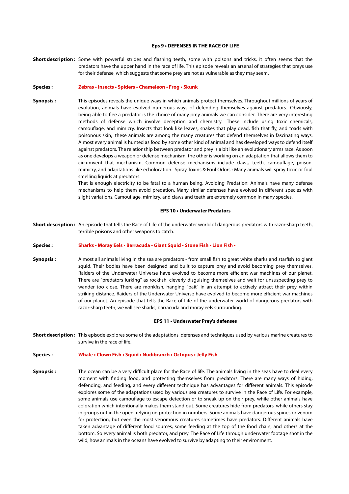#### **Eps 9 • DEFENSES IN THE RACE OF LIFE**

**Short description :** Some with powerful strides and flashing teeth, some with poisons and tricks, it often seems that the predators have the upper hand in the race of life. This episode reveals an arsenal of strategies that preys use for their defense, which suggests that some prey are not as vulnerable as they may seem.

#### **Species : Zebras • Insects • Spiders • Chameleon • Frog • Skunk**

**Synopsis :** This episodes reveals the unique ways in which animals protect themselves. Throughout millions of years of evolution, animals have evolved numerous ways of defending themselves against predators. Obviously, being able to flee a predator is the choice of many prey animals we can consider. There are very interesting methods of defense which involve deception and chemistry. These include using toxic chemicals, camouflage, and mimicry. Insects that look like leaves, snakes that play dead, fish that fly, and toads with poisonous skin, these animals are among the many creatures that defend themselves in fascinating ways. Almost every animal is hunted as food by some other kind of animal and has developed ways to defend itself against predators. The relationship between predator and prey is a bit like an evolutionary arms race. As soon as one develops a weapon or defense mechanism, the other is working on an adaptation that allows them to circumvent that mechanism. Common defense mechanisms include claws, teeth, camouflage, poison, mimicry, and adaptations like echolocation. Spray Toxins & Foul Odors : Many animals will spray toxic or foul smelling liquids at predators.

> That is enough electricity to be fatal to a human being. Avoiding Predation: Animals have many defense mechanisms to help them avoid predation. Many similar defenses have evolved in different species with slight variations. Camouflage, mimicry, and claws and teeth are extremely common in many species.

#### **EPS 10 • Underwater Predators**

**Short description :** An episode that tells the Race of Life of the underwater world of dangerous predators with razor-sharp teeth, terrible poisons and other weapons to catch.

#### **Species : Sharks • Moray Eels • Barracuda • Giant Squid • Stone Fish • Lion Fish •**

**Synopsis :** Almost all animals living in the sea are predators - from small fish to great white sharks and starfish to giant squid. Their bodies have been designed and built to capture prey and avoid becoming prey themselves. Raiders of the Underwater Universe have evolved to become more efficient war machines of our planet. There are "predators lurking" as rockfish, cleverly disguising themselves and wait for unsuspecting prey to wander too close. There are monkfish, hanging "bait" in an attempt to actively attract their prey within striking distance. Raiders of the Underwater Universe have evolved to become more efficient war machines of our planet. An episode that tells the Race of Life of the underwater world of dangerous predators with razor-sharp teeth, we will see sharks, barracuda and moray eels surrounding.

#### **EPS 11 • Underwater Prey's defenses**

**Short description :** This episode explores some of the adaptations, defenses and techniques used by various marine creatures to survive in the race of life.

#### **Species : Whale • Clown Fish • Squid • Nudibranch • Octopus • Jelly Fish**

**Synopsis :** The ocean can be a very difficult place for the Race of life. The animals living in the seas have to deal every moment with finding food, and protecting themselves from predators. There are many ways of hiding, defending, and feeding, and every different technique has advantages for different animals. This episode explores some of the adaptations used by various sea creatures to survive in the Race of Life. For example, some animals use camouflage to escape detection or to sneak up on their prey, while other animals have coloration which intentionally makes them stand out. Some creatures hide from predators, while others stay in groups out in the open, relying on protection in numbers. Some animals have dangerous spines or venom for protection, but even the most venomous creatures sometimes have predators. Different animals have taken advantage of different food sources, some feeding at the top of the food chain, and others at the bottom. So every animal is both predator, and prey. The Race of Life through underwater footage shot in the wild, how animals in the oceans have evolved to survive by adapting to their environment.